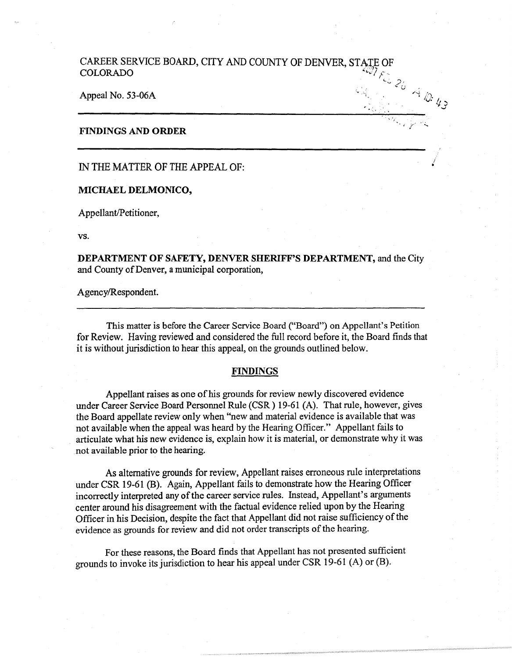## CAREER SERVICE BOARD, CITY AND COUNTY OF DENVER, STATE OF COLORADO *<sup>I</sup>*(. . ...., *).•*  .; *{)*

 $\cdot$  ,  $\cdot$  ,  $\cdot$   $\cdot$  .

/ •

Appeal No. 53-06A

### **FINDINGS AND ORDER**

IN THE MATTER OF THE APPEAL OF:

**MICHAEL DELMONICO,** 

Appellant/Petitioner,

vs.

**DEPARTMENT OF SAFETY, DENVER SHERIFF'S DEPARTMENT,** and the City and County of Denver, a municipal corporation,

Agency/Respondent.

This matter is before the Career Service Board ("Board") on Appellant's Petition for Review. Having reviewed and considered the full record before it, the Board finds that it is without jurisdiction to hear this appeal, on the grounds outlined below.

#### **FINDINGS**

Appellant raises as one of his grounds for review newly discovered evidence under Career Service Board Personnel Rule (CSR) 19-61 (A). That rule, however, gives the Board appellate review only when "new and material evidence is available that was not available when the appeal was heard by the Hearing Officer." Appellant fails to articulate what his new evidence is, explain how it is material, or demonstrate why it was not available prior to the hearing.

As alternative grounds for review, Appellant raises erroneous rule interpretations under CSR 19-61 (B). Again, Appellant fails to demonstrate how the Hearing Officer incorrectly interpreted any of the career service rules. Instead, Appellant's arguments center around his disagreement with the factual evidence relied upon by the Hearing Officer in his Decision, despite the fact that Appellant did not raise sufficiency of the evidence as grounds for review and did not order transcripts of the hearing.

For these reasons, the Board finds that Appellant has not presented sufficient grounds to invoke its jurisdiction to hear his appeal under CSR 19-61 (A) or (B).